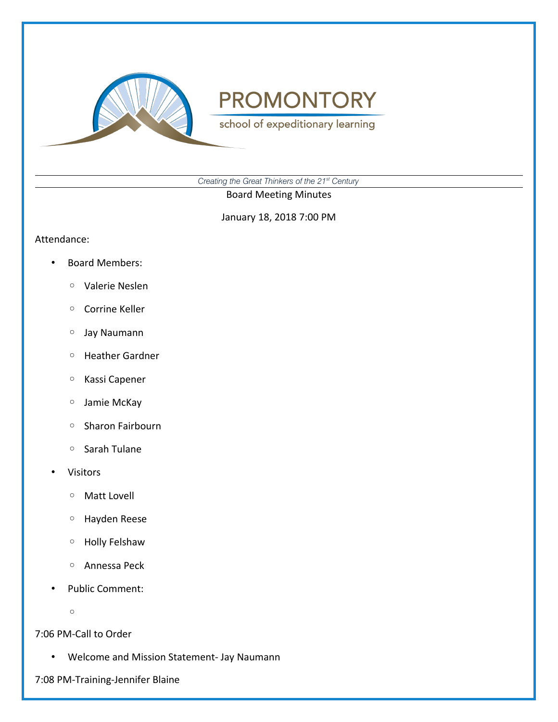

school of expeditionary learning

*Creating the Great Thinkers of the 21st Century*

Board Meeting Minutes

January 18, 2018 7:00 PM

#### Attendance:

- Board Members:
	- Valerie Neslen
	- Corrine Keller
	- Jay Naumann
	- Heather Gardner
	- Kassi Capener
	- Jamie McKay
	- Sharon Fairbourn
	- Sarah Tulane
- Visitors
	- Matt Lovell
	- Hayden Reese
	- Holly Felshaw
	- Annessa Peck
- Public Comment:
	- $\circ$

7:06 PM-Call to Order

• Welcome and Mission Statement- Jay Naumann

7:08 PM-Training-Jennifer Blaine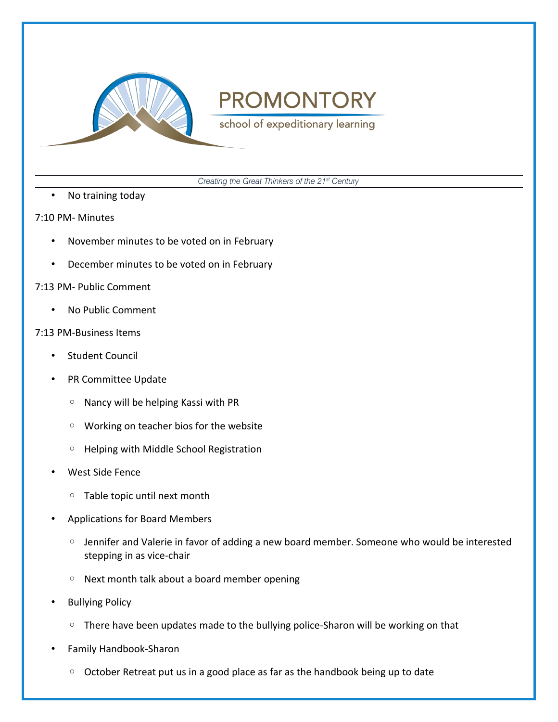

school of expeditionary learning

*Creating the Great Thinkers of the 21st Century*

• No training today

### 7:10 PM- Minutes

- November minutes to be voted on in February
- December minutes to be voted on in February

# 7:13 PM- Public Comment

• No Public Comment

# 7:13 PM-Business Items

- Student Council
- PR Committee Update
	- Nancy will be helping Kassi with PR
	- Working on teacher bios for the website
	- Helping with Middle School Registration
- West Side Fence
	- Table topic until next month
- Applications for Board Members
	- Jennifer and Valerie in favor of adding a new board member. Someone who would be interested stepping in as vice-chair
	- Next month talk about a board member opening
- Bullying Policy
	- There have been updates made to the bullying police-Sharon will be working on that
- Family Handbook-Sharon
	- October Retreat put us in a good place as far as the handbook being up to date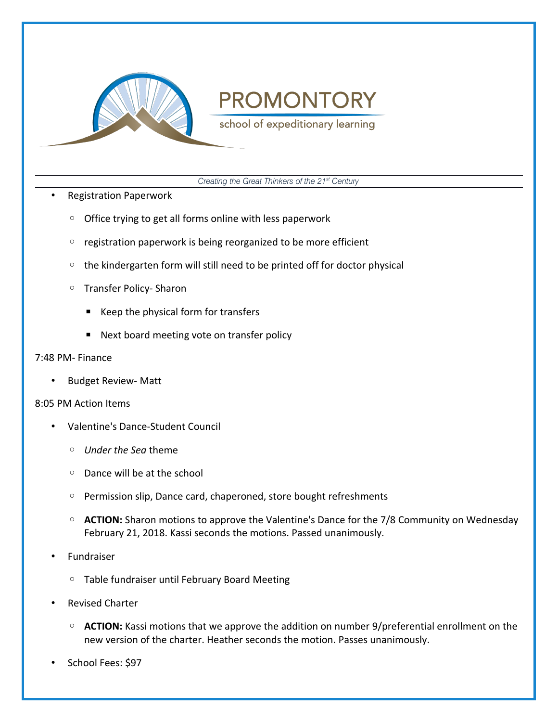

school of expeditionary learning

*Creating the Great Thinkers of the 21st Century*

- Registration Paperwork
	- Office trying to get all forms online with less paperwork
	- registration paperwork is being reorganized to be more efficient
	- the kindergarten form will still need to be printed off for doctor physical
	- Transfer Policy- Sharon
		- Keep the physical form for transfers
		- Next board meeting vote on transfer policy

# 7:48 PM- Finance

• Budget Review- Matt

### 8:05 PM Action Items

- Valentine's Dance-Student Council
	- *Under the Sea* theme
	- Dance will be at the school
	- Permission slip, Dance card, chaperoned, store bought refreshments
	- **ACTION:** Sharon motions to approve the Valentine's Dance for the 7/8 Community on Wednesday February 21, 2018. Kassi seconds the motions. Passed unanimously.
- Fundraiser
	- Table fundraiser until February Board Meeting
- Revised Charter
	- **ACTION:** Kassi motions that we approve the addition on number 9/preferential enrollment on the new version of the charter. Heather seconds the motion. Passes unanimously.
- School Fees: \$97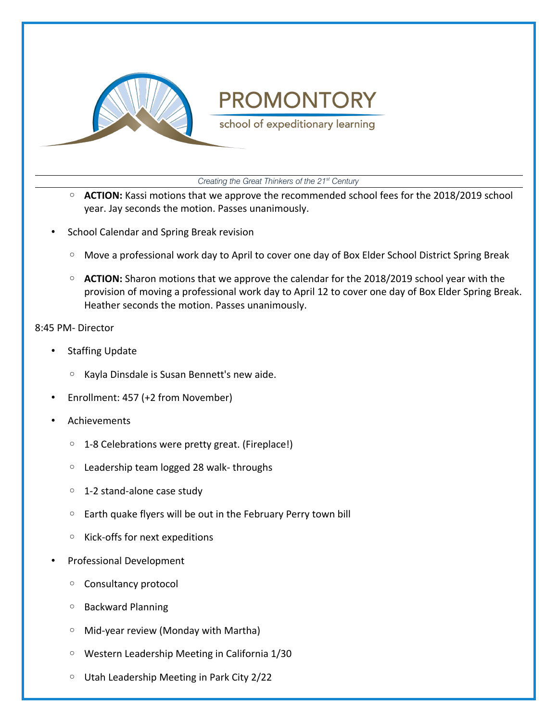

school of expeditionary learning

*Creating the Great Thinkers of the 21st Century*

- **ACTION:** Kassi motions that we approve the recommended school fees for the 2018/2019 school year. Jay seconds the motion. Passes unanimously.
- School Calendar and Spring Break revision
	- Move a professional work day to April to cover one day of Box Elder School District Spring Break
	- **ACTION:** Sharon motions that we approve the calendar for the 2018/2019 school year with the provision of moving a professional work day to April 12 to cover one day of Box Elder Spring Break. Heather seconds the motion. Passes unanimously.

### 8:45 PM- Director

- Staffing Update
	- Kayla Dinsdale is Susan Bennett's new aide.
- Enrollment: 457 (+2 from November)
- Achievements
	- 1-8 Celebrations were pretty great. (Fireplace!)
	- Leadership team logged 28 walk- throughs
	- 1-2 stand-alone case study
	- Earth quake flyers will be out in the February Perry town bill
	- Kick-offs for next expeditions
- Professional Development
	- Consultancy protocol
	- Backward Planning
	- Mid-year review (Monday with Martha)
	- Western Leadership Meeting in California 1/30
	- Utah Leadership Meeting in Park City 2/22